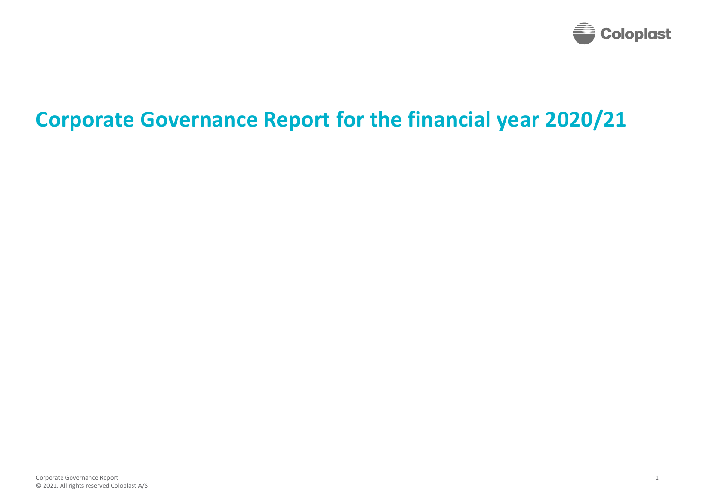

# **Corporate Governance Report for the financial year 2020/21**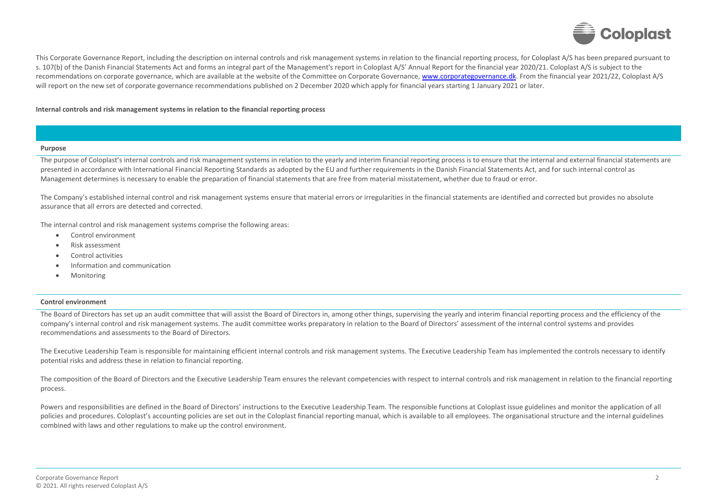

This Corporate Governance Report, including the description on internal controls and risk management systems in relation to the financial reporting process, for Coloplast A/S has been prepared pursuant to s. 107(b) of the Danish Financial Statements Act and forms an integral part of the Management's report in Coloplast A/S' Annual Report for the financial year 2020/21. Coloplast A/S is subject to the recommendations on corporate governance, which are available at the website of the Committee on Corporate Governance[, www.corporategovernance.dk.](https://corporategovernance.dk/) From the financial year 2021/22, Coloplast A/S will report on the new set of corporate governance recommendations published on 2 December 2020 which apply for financial years starting 1 January 2021 or later.

### **Internal controls and risk management systems in relation to the financial reporting process**

#### **Purpose**

The purpose of Coloplast's internal controls and risk management systems in relation to the yearly and interim financial reporting process is to ensure that the internal and external financial statements are presented in accordance with International Financial Reporting Standards as adopted by the EU and further requirements in the Danish Financial Statements Act, and for such internal control as Management determines is necessary to enable the preparation of financial statements that are free from material misstatement, whether due to fraud or error.

The Company's established internal control and risk management systems ensure that material errors or irregularities in the financial statements are identified and corrected but provides no absolute assurance that all errors are detected and corrected.

The internal control and risk management systems comprise the following areas:

- Control environment
- Risk assessment
- Control activities
- Information and communication
- **Monitoring**

#### **Control environment**

The Board of Directors has set up an audit committee that will assist the Board of Directors in, among other things, supervising the yearly and interim financial reporting process and the efficiency of the company's internal control and risk management systems. The audit committee works preparatory in relation to the Board of Directors' assessment of the internal control systems and provides recommendations and assessments to the Board of Directors.

The Executive Leadership Team is responsible for maintaining efficient internal controls and risk management systems. The Executive Leadership Team has implemented the controls necessary to identify potential risks and address these in relation to financial reporting.

The composition of the Board of Directors and the Executive Leadership Team ensures the relevant competencies with respect to internal controls and risk management in relation to the financial reporting process.

Powers and responsibilities are defined in the Board of Directors' instructions to the Executive Leadership Team. The responsible functions at Coloplast issue guidelines and monitor the application of all policies and procedures. Coloplast's accounting policies are set out in the Coloplast financial reporting manual, which is available to all employees. The organisational structure and the internal guidelines combined with laws and other regulations to make up the control environment.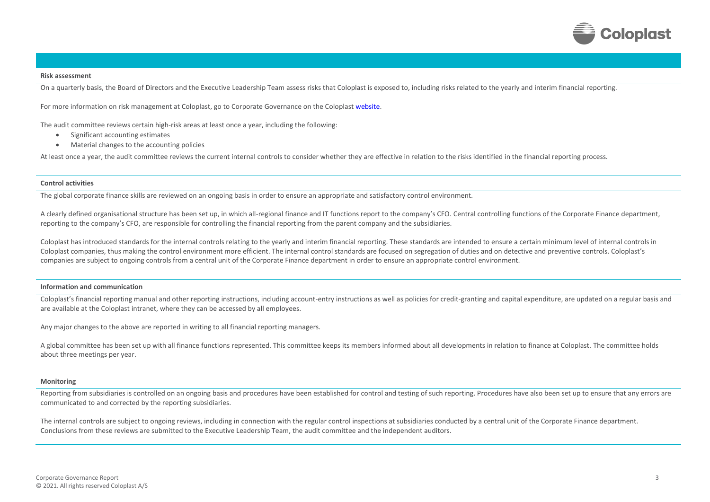

#### **Risk assessment**

On a quarterly basis, the Board of Directors and the Executive Leadership Team assess risks that Coloplast is exposed to, including risks related to the yearly and interim financial reporting.

For more information on risk management at Coloplast, go to Corporate Governance on the Coloplas[t website.](https://www.coloplast.com/Investor-Relations/Corporate-Governance/)

The audit committee reviews certain high-risk areas at least once a year, including the following:

- Significant accounting estimates
- Material changes to the accounting policies

At least once a year, the audit committee reviews the current internal controls to consider whether they are effective in relation to the risks identified in the financial reporting process.

#### **Control activities**

The global corporate finance skills are reviewed on an ongoing basis in order to ensure an appropriate and satisfactory control environment.

A clearly defined organisational structure has been set up, in which all-regional finance and IT functions report to the company's CFO. Central controlling functions of the Corporate Finance department, reporting to the company's CFO, are responsible for controlling the financial reporting from the parent company and the subsidiaries.

Coloplast has introduced standards for the internal controls relating to the yearly and interim financial reporting. These standards are intended to ensure a certain minimum level of internal controls in Coloplast companies, thus making the control environment more efficient. The internal control standards are focused on segregation of duties and on detective and preventive controls. Coloplast's companies are subject to ongoing controls from a central unit of the Corporate Finance department in order to ensure an appropriate control environment.

#### **Information and communication**

Coloplast's financial reporting manual and other reporting instructions, including account-entry instructions as well as policies for credit-granting and capital expenditure, are updated on a regular basis and are available at the Coloplast intranet, where they can be accessed by all employees.

Any major changes to the above are reported in writing to all financial reporting managers.

A global committee has been set up with all finance functions represented. This committee keeps its members informed about all developments in relation to finance at Coloplast. The committee holds about three meetings per year.

#### **Monitoring**

Reporting from subsidiaries is controlled on an ongoing basis and procedures have been established for control and testing of such reporting. Procedures have also been set up to ensure that any errors are communicated to and corrected by the reporting subsidiaries.

The internal controls are subject to ongoing reviews, including in connection with the regular control inspections at subsidiaries conducted by a central unit of the Corporate Finance department. Conclusions from these reviews are submitted to the Executive Leadership Team, the audit committee and the independent auditors.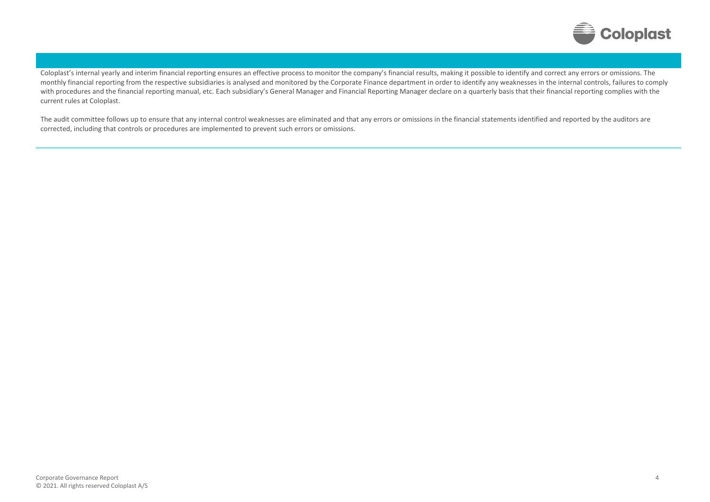

Coloplast's internal yearly and interim financial reporting ensures an effective process to monitor the company's financial results, making it possible to identify and correct any errors or omissions. The monthly financial reporting from the respective subsidiaries is analysed and monitored by the Corporate Finance department in order to identify any weaknesses in the internal controls, failures to comply with procedures and the financial reporting manual, etc. Each subsidiary's General Manager and Financial Reporting Manager declare on a quarterly basis that their financial reporting complies with the current rules at Coloplast.

The audit committee follows up to ensure that any internal control weaknesses are eliminated and that any errors or omissions in the financial statements identified and reported by the auditors are corrected, including that controls or procedures are implemented to prevent such errors or omissions.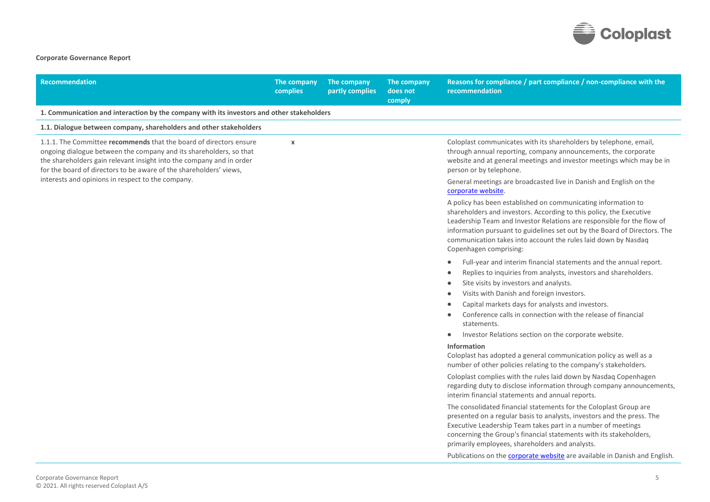

## **Corporate Governance Report**

| <b>Recommendation</b>                                                                                                                                                                                                                                                                  | The company<br><b>complies</b> | The company<br>partly complies | The company<br>does not<br>comply | Reasons for compliance / part compliance / non-compliance with the<br>recommendation                                                                                                                                                                                                                                                                                                    |
|----------------------------------------------------------------------------------------------------------------------------------------------------------------------------------------------------------------------------------------------------------------------------------------|--------------------------------|--------------------------------|-----------------------------------|-----------------------------------------------------------------------------------------------------------------------------------------------------------------------------------------------------------------------------------------------------------------------------------------------------------------------------------------------------------------------------------------|
| 1. Communication and interaction by the company with its investors and other stakeholders                                                                                                                                                                                              |                                |                                |                                   |                                                                                                                                                                                                                                                                                                                                                                                         |
| 1.1. Dialogue between company, shareholders and other stakeholders                                                                                                                                                                                                                     |                                |                                |                                   |                                                                                                                                                                                                                                                                                                                                                                                         |
| 1.1.1. The Committee recommends that the board of directors ensure<br>ongoing dialogue between the company and its shareholders, so that<br>the shareholders gain relevant insight into the company and in order<br>for the board of directors to be aware of the shareholders' views, | $\mathbf x$                    |                                |                                   | Coloplast communicates with its shareholders by telephone, email,<br>through annual reporting, company announcements, the corporate<br>website and at general meetings and investor meetings which may be in<br>person or by telephone.                                                                                                                                                 |
| interests and opinions in respect to the company.                                                                                                                                                                                                                                      |                                |                                |                                   | General meetings are broadcasted live in Danish and English on the<br>corporate website.                                                                                                                                                                                                                                                                                                |
|                                                                                                                                                                                                                                                                                        |                                |                                |                                   | A policy has been established on communicating information to<br>shareholders and investors. According to this policy, the Executive<br>Leadership Team and Investor Relations are responsible for the flow of<br>information pursuant to guidelines set out by the Board of Directors. The<br>communication takes into account the rules laid down by Nasdaq<br>Copenhagen comprising: |
|                                                                                                                                                                                                                                                                                        |                                |                                |                                   | Full-year and interim financial statements and the annual report.<br>Replies to inquiries from analysts, investors and shareholders.<br>Site visits by investors and analysts.<br>Visits with Danish and foreign investors.<br>Capital markets days for analysts and investors.<br>Conference calls in connection with the release of financial<br>statements.                          |
|                                                                                                                                                                                                                                                                                        |                                |                                |                                   | Investor Relations section on the corporate website.<br>$\bullet$<br>Information<br>Coloplast has adopted a general communication policy as well as a<br>number of other policies relating to the company's stakeholders.                                                                                                                                                               |
|                                                                                                                                                                                                                                                                                        |                                |                                |                                   | Coloplast complies with the rules laid down by Nasdaq Copenhagen<br>regarding duty to disclose information through company announcements,<br>interim financial statements and annual reports.                                                                                                                                                                                           |
|                                                                                                                                                                                                                                                                                        |                                |                                |                                   | The consolidated financial statements for the Coloplast Group are<br>presented on a regular basis to analysts, investors and the press. The<br>Executive Leadership Team takes part in a number of meetings<br>concerning the Group's financial statements with its stakeholders,<br>primarily employees, shareholders and analysts.                                                    |
|                                                                                                                                                                                                                                                                                        |                                |                                |                                   | Publications on the corporate website are available in Danish and English.                                                                                                                                                                                                                                                                                                              |
| Corporate Governance Report<br>© 2021. All rights reserved Coloplast A/S                                                                                                                                                                                                               |                                |                                |                                   | 5                                                                                                                                                                                                                                                                                                                                                                                       |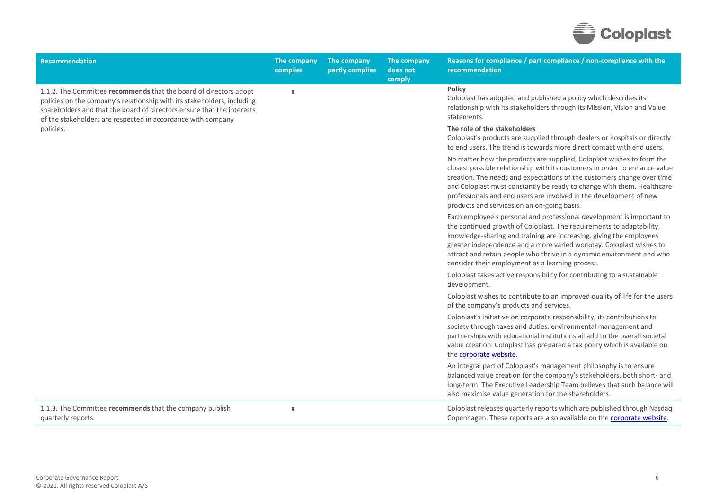

| <b>Recommendation</b>                                                                                                                                                                                                                                                                  | The company<br>complies | The company<br>partly complies | The company<br>does not<br>comply | Reasons for compliance / part compliance / non-compliance with the<br>recommendation                                                                                                                                                                                                                                                                                                                                         |
|----------------------------------------------------------------------------------------------------------------------------------------------------------------------------------------------------------------------------------------------------------------------------------------|-------------------------|--------------------------------|-----------------------------------|------------------------------------------------------------------------------------------------------------------------------------------------------------------------------------------------------------------------------------------------------------------------------------------------------------------------------------------------------------------------------------------------------------------------------|
| 1.1.2. The Committee recommends that the board of directors adopt<br>policies on the company's relationship with its stakeholders, including<br>shareholders and that the board of directors ensure that the interests<br>of the stakeholders are respected in accordance with company | X                       |                                |                                   | <b>Policy</b><br>Coloplast has adopted and published a policy which describes its<br>relationship with its stakeholders through its Mission, Vision and Value<br>statements.                                                                                                                                                                                                                                                 |
| policies.                                                                                                                                                                                                                                                                              |                         |                                |                                   | The role of the stakeholders<br>Coloplast's products are supplied through dealers or hospitals or directly<br>to end users. The trend is towards more direct contact with end users.                                                                                                                                                                                                                                         |
|                                                                                                                                                                                                                                                                                        |                         |                                |                                   | No matter how the products are supplied, Coloplast wishes to form the<br>closest possible relationship with its customers in order to enhance value<br>creation. The needs and expectations of the customers change over time<br>and Coloplast must constantly be ready to change with them. Healthcare<br>professionals and end users are involved in the development of new<br>products and services on an on-going basis. |
|                                                                                                                                                                                                                                                                                        |                         |                                |                                   | Each employee's personal and professional development is important to<br>the continued growth of Coloplast. The requirements to adaptability,<br>knowledge-sharing and training are increasing, giving the employees<br>greater independence and a more varied workday. Coloplast wishes to<br>attract and retain people who thrive in a dynamic environment and who<br>consider their employment as a learning process.     |
|                                                                                                                                                                                                                                                                                        |                         |                                |                                   | Coloplast takes active responsibility for contributing to a sustainable<br>development.                                                                                                                                                                                                                                                                                                                                      |
|                                                                                                                                                                                                                                                                                        |                         |                                |                                   | Coloplast wishes to contribute to an improved quality of life for the users<br>of the company's products and services.                                                                                                                                                                                                                                                                                                       |
|                                                                                                                                                                                                                                                                                        |                         |                                |                                   | Coloplast's initiative on corporate responsibility, its contributions to<br>society through taxes and duties, environmental management and<br>partnerships with educational institutions all add to the overall societal<br>value creation. Coloplast has prepared a tax policy which is available on<br>the corporate website.                                                                                              |
|                                                                                                                                                                                                                                                                                        |                         |                                |                                   | An integral part of Coloplast's management philosophy is to ensure<br>balanced value creation for the company's stakeholders, both short- and<br>long-term. The Executive Leadership Team believes that such balance will<br>also maximise value generation for the shareholders.                                                                                                                                            |
| 1.1.3. The Committee recommends that the company publish<br>quarterly reports.                                                                                                                                                                                                         | $\pmb{\mathsf{x}}$      |                                |                                   | Coloplast releases quarterly reports which are published through Nasdaq<br>Copenhagen. These reports are also available on the corporate website.                                                                                                                                                                                                                                                                            |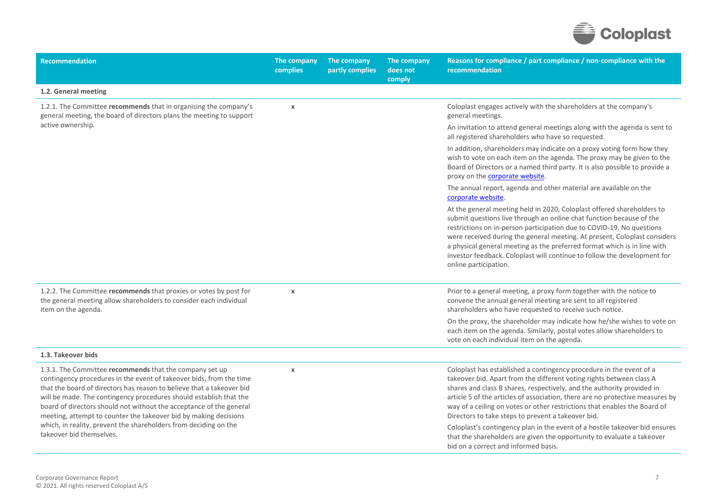

| <b>Recommendation</b>                                                                                                                                                                                                                                                                                                                                                                                                                                                                                                    | The company<br>complies | The company<br>partly complies | The company<br>does not<br>comply | Reasons for compliance / part compliance / non-compliance with the<br>recommendation                                                                                                                                                                                                                                                                                                                                                                                                                                     |
|--------------------------------------------------------------------------------------------------------------------------------------------------------------------------------------------------------------------------------------------------------------------------------------------------------------------------------------------------------------------------------------------------------------------------------------------------------------------------------------------------------------------------|-------------------------|--------------------------------|-----------------------------------|--------------------------------------------------------------------------------------------------------------------------------------------------------------------------------------------------------------------------------------------------------------------------------------------------------------------------------------------------------------------------------------------------------------------------------------------------------------------------------------------------------------------------|
| 1.2. General meeting                                                                                                                                                                                                                                                                                                                                                                                                                                                                                                     |                         |                                |                                   |                                                                                                                                                                                                                                                                                                                                                                                                                                                                                                                          |
| 1.2.1. The Committee recommends that in organising the company's<br>general meeting, the board of directors plans the meeting to support                                                                                                                                                                                                                                                                                                                                                                                 | $\pmb{\chi}$            |                                |                                   | Coloplast engages actively with the shareholders at the company's<br>general meetings.                                                                                                                                                                                                                                                                                                                                                                                                                                   |
| active ownership.                                                                                                                                                                                                                                                                                                                                                                                                                                                                                                        |                         |                                |                                   | An invitation to attend general meetings along with the agenda is sent to<br>all registered shareholders who have so requested.                                                                                                                                                                                                                                                                                                                                                                                          |
|                                                                                                                                                                                                                                                                                                                                                                                                                                                                                                                          |                         |                                |                                   | In addition, shareholders may indicate on a proxy voting form how they<br>wish to vote on each item on the agenda. The proxy may be given to the<br>Board of Directors or a named third party. It is also possible to provide a<br>proxy on the corporate website.                                                                                                                                                                                                                                                       |
|                                                                                                                                                                                                                                                                                                                                                                                                                                                                                                                          |                         |                                |                                   | The annual report, agenda and other material are available on the<br>corporate website.                                                                                                                                                                                                                                                                                                                                                                                                                                  |
|                                                                                                                                                                                                                                                                                                                                                                                                                                                                                                                          |                         |                                |                                   | At the general meeting held in 2020, Coloplast offered shareholders to<br>submit questions live through an online chat function because of the<br>restrictions on in-person participation due to COVID-19. No questions<br>were received during the general meeting. At present, Coloplast considers<br>a physical general meeting as the preferred format which is in line with<br>investor feedback. Coloplast will continue to follow the development for<br>online participation.                                    |
| 1.2.2. The Committee recommends that proxies or votes by post for<br>the general meeting allow shareholders to consider each individual<br>item on the agenda.                                                                                                                                                                                                                                                                                                                                                           | $\pmb{\chi}$            |                                |                                   | Prior to a general meeting, a proxy form together with the notice to<br>convene the annual general meeting are sent to all registered<br>shareholders who have requested to receive such notice.                                                                                                                                                                                                                                                                                                                         |
|                                                                                                                                                                                                                                                                                                                                                                                                                                                                                                                          |                         |                                |                                   | On the proxy, the shareholder may indicate how he/she wishes to vote on<br>each item on the agenda. Similarly, postal votes allow shareholders to<br>vote on each individual item on the agenda.                                                                                                                                                                                                                                                                                                                         |
| 1.3. Takeover bids                                                                                                                                                                                                                                                                                                                                                                                                                                                                                                       |                         |                                |                                   |                                                                                                                                                                                                                                                                                                                                                                                                                                                                                                                          |
| 1.3.1. The Committee recommends that the company set up<br>contingency procedures in the event of takeover bids, from the time<br>that the board of directors has reason to believe that a takeover bid<br>will be made. The contingency procedures should establish that the<br>board of directors should not without the acceptance of the general<br>meeting, attempt to counter the takeover bid by making decisions<br>which, in reality, prevent the shareholders from deciding on the<br>takeover bid themselves. | $\pmb{\times}$          |                                |                                   | Coloplast has established a contingency procedure in the event of a<br>takeover bid. Apart from the different voting rights between class A<br>shares and class B shares, respectively, and the authority provided in<br>article 5 of the articles of association, there are no protective measures by<br>way of a ceiling on votes or other restrictions that enables the Board of<br>Directors to take steps to prevent a takeover bid.<br>Coloplast's contingency plan in the event of a hostile takeover bid ensures |
|                                                                                                                                                                                                                                                                                                                                                                                                                                                                                                                          |                         |                                |                                   | that the shareholders are given the opportunity to evaluate a takeover<br>bid on a correct and informed basis.                                                                                                                                                                                                                                                                                                                                                                                                           |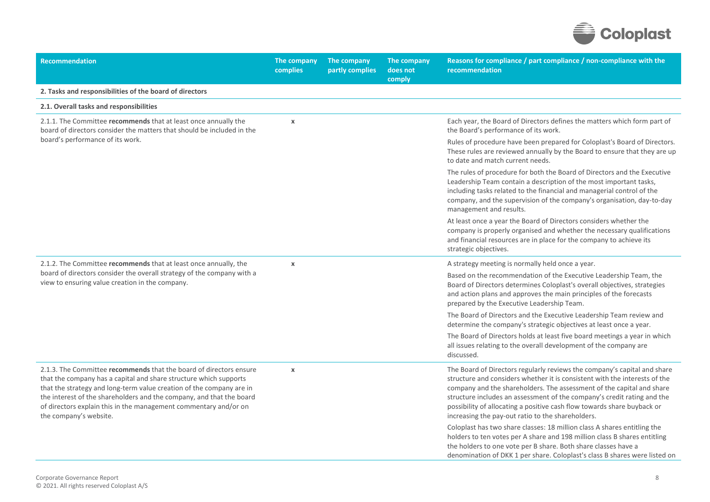

| <b>Recommendation</b>                                                                                                                                                                                                                                                                                                                                                                 | The company<br>complies | The company<br>partly complies | The company<br>does not<br>comply | Reasons for compliance / part compliance / non-compliance with the<br>recommendation                                                                                                                                                                                                                                                                                                                                                       |
|---------------------------------------------------------------------------------------------------------------------------------------------------------------------------------------------------------------------------------------------------------------------------------------------------------------------------------------------------------------------------------------|-------------------------|--------------------------------|-----------------------------------|--------------------------------------------------------------------------------------------------------------------------------------------------------------------------------------------------------------------------------------------------------------------------------------------------------------------------------------------------------------------------------------------------------------------------------------------|
| 2. Tasks and responsibilities of the board of directors                                                                                                                                                                                                                                                                                                                               |                         |                                |                                   |                                                                                                                                                                                                                                                                                                                                                                                                                                            |
| 2.1. Overall tasks and responsibilities                                                                                                                                                                                                                                                                                                                                               |                         |                                |                                   |                                                                                                                                                                                                                                                                                                                                                                                                                                            |
| 2.1.1. The Committee recommends that at least once annually the<br>board of directors consider the matters that should be included in the                                                                                                                                                                                                                                             | $\pmb{\chi}$            |                                |                                   | Each year, the Board of Directors defines the matters which form part of<br>the Board's performance of its work.                                                                                                                                                                                                                                                                                                                           |
| board's performance of its work.                                                                                                                                                                                                                                                                                                                                                      |                         |                                |                                   | Rules of procedure have been prepared for Coloplast's Board of Directors.<br>These rules are reviewed annually by the Board to ensure that they are up<br>to date and match current needs.                                                                                                                                                                                                                                                 |
|                                                                                                                                                                                                                                                                                                                                                                                       |                         |                                |                                   | The rules of procedure for both the Board of Directors and the Executive<br>Leadership Team contain a description of the most important tasks,<br>including tasks related to the financial and managerial control of the<br>company, and the supervision of the company's organisation, day-to-day<br>management and results.                                                                                                              |
|                                                                                                                                                                                                                                                                                                                                                                                       |                         |                                |                                   | At least once a year the Board of Directors considers whether the<br>company is properly organised and whether the necessary qualifications<br>and financial resources are in place for the company to achieve its<br>strategic objectives.                                                                                                                                                                                                |
| 2.1.2. The Committee recommends that at least once annually, the                                                                                                                                                                                                                                                                                                                      | $\pmb{\chi}$            |                                |                                   | A strategy meeting is normally held once a year.                                                                                                                                                                                                                                                                                                                                                                                           |
| board of directors consider the overall strategy of the company with a<br>view to ensuring value creation in the company.                                                                                                                                                                                                                                                             |                         |                                |                                   | Based on the recommendation of the Executive Leadership Team, the<br>Board of Directors determines Coloplast's overall objectives, strategies<br>and action plans and approves the main principles of the forecasts<br>prepared by the Executive Leadership Team.                                                                                                                                                                          |
|                                                                                                                                                                                                                                                                                                                                                                                       |                         |                                |                                   | The Board of Directors and the Executive Leadership Team review and<br>determine the company's strategic objectives at least once a year.                                                                                                                                                                                                                                                                                                  |
|                                                                                                                                                                                                                                                                                                                                                                                       |                         |                                |                                   | The Board of Directors holds at least five board meetings a year in which<br>all issues relating to the overall development of the company are<br>discussed.                                                                                                                                                                                                                                                                               |
| 2.1.3. The Committee recommends that the board of directors ensure<br>that the company has a capital and share structure which supports<br>that the strategy and long-term value creation of the company are in<br>the interest of the shareholders and the company, and that the board<br>of directors explain this in the management commentary and/or on<br>the company's website. | $\pmb{\chi}$            |                                |                                   | The Board of Directors regularly reviews the company's capital and share<br>structure and considers whether it is consistent with the interests of the<br>company and the shareholders. The assessment of the capital and share<br>structure includes an assessment of the company's credit rating and the<br>possibility of allocating a positive cash flow towards share buyback or<br>increasing the pay-out ratio to the shareholders. |
|                                                                                                                                                                                                                                                                                                                                                                                       |                         |                                |                                   | Coloplast has two share classes: 18 million class A shares entitling the<br>holders to ten votes per A share and 198 million class B shares entitling<br>the holders to one vote per B share. Both share classes have a<br>denomination of DKK 1 per share. Coloplast's class B shares were listed on                                                                                                                                      |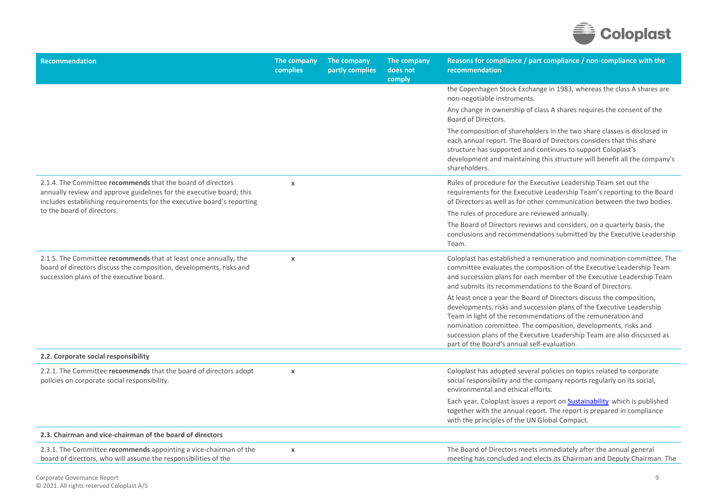

| <b>Recommendation</b>                                                                                                                                                                                         | The company<br>complies | The company<br>partly complies | The company<br>does not<br>comply | Reasons for compliance / part compliance / non-compliance with the<br>recommendation                                                                                                                                                                                                                                                                                                                     |
|---------------------------------------------------------------------------------------------------------------------------------------------------------------------------------------------------------------|-------------------------|--------------------------------|-----------------------------------|----------------------------------------------------------------------------------------------------------------------------------------------------------------------------------------------------------------------------------------------------------------------------------------------------------------------------------------------------------------------------------------------------------|
|                                                                                                                                                                                                               |                         |                                |                                   | the Copenhagen Stock Exchange in 1983, whereas the class A shares are<br>non-negotiable instruments.                                                                                                                                                                                                                                                                                                     |
|                                                                                                                                                                                                               |                         |                                |                                   | Any change in ownership of class A shares requires the consent of the<br>Board of Directors.                                                                                                                                                                                                                                                                                                             |
|                                                                                                                                                                                                               |                         |                                |                                   | The composition of shareholders in the two share classes is disclosed in<br>each annual report. The Board of Directors considers that this share<br>structure has supported and continues to support Coloplast's<br>development and maintaining this structure will benefit all the company's<br>shareholders.                                                                                           |
| 2.1.4. The Committee recommends that the board of directors<br>annually review and approve guidelines for the executive board; this<br>includes establishing requirements for the executive board's reporting | $\pmb{\chi}$            |                                |                                   | Rules of procedure for the Executive Leadership Team set out the<br>requirements for the Executive Leadership Team's reporting to the Board<br>of Directors as well as for other communication between the two bodies.                                                                                                                                                                                   |
| to the board of directors.                                                                                                                                                                                    |                         |                                |                                   | The rules of procedure are reviewed annually.                                                                                                                                                                                                                                                                                                                                                            |
|                                                                                                                                                                                                               |                         |                                |                                   | The Board of Directors reviews and considers, on a quarterly basis, the<br>conclusions and recommendations submitted by the Executive Leadership<br>Team.                                                                                                                                                                                                                                                |
| 2.1.5. The Committee recommends that at least once annually, the<br>board of directors discuss the composition, developments, risks and<br>succession plans of the executive board.                           | $\pmb{\chi}$            |                                |                                   | Coloplast has established a remuneration and nomination committee. The<br>committee evaluates the composition of the Executive Leadership Team<br>and succession plans for each member of the Executive Leadership Team<br>and submits its recommendations to the Board of Directors.                                                                                                                    |
|                                                                                                                                                                                                               |                         |                                |                                   | At least once a year the Board of Directors discuss the composition,<br>developments, risks and succession plans of the Executive Leadership<br>Team in light of the recommendations of the remuneration and<br>nomination committee. The composition, developments, risks and<br>succession plans of the Executive Leadership Team are also discussed as<br>part of the Board's annual self-evaluation. |
| 2.2. Corporate social responsibility                                                                                                                                                                          |                         |                                |                                   |                                                                                                                                                                                                                                                                                                                                                                                                          |
| 2.2.1. The Committee recommends that the board of directors adopt<br>policies on corporate social responsibility.                                                                                             | $\pmb{\chi}$            |                                |                                   | Coloplast has adopted several policies on topics related to corporate<br>social responsibility and the company reports regularly on its social,<br>environmental and ethical efforts.                                                                                                                                                                                                                    |
|                                                                                                                                                                                                               |                         |                                |                                   | Each year, Coloplast issues a report on <b>Sustainability</b> which is published<br>together with the annual report. The report is prepared in compliance<br>with the principles of the UN Global Compact.                                                                                                                                                                                               |
| 2.3. Chairman and vice-chairman of the board of directors                                                                                                                                                     |                         |                                |                                   |                                                                                                                                                                                                                                                                                                                                                                                                          |
| 2.3.1. The Committee recommends appointing a vice-chairman of the<br>board of directors, who will assume the responsibilities of the                                                                          | $\pmb{\chi}$            |                                |                                   | The Board of Directors meets immediately after the annual general<br>meeting has concluded and elects its Chairman and Deputy Chairman. The                                                                                                                                                                                                                                                              |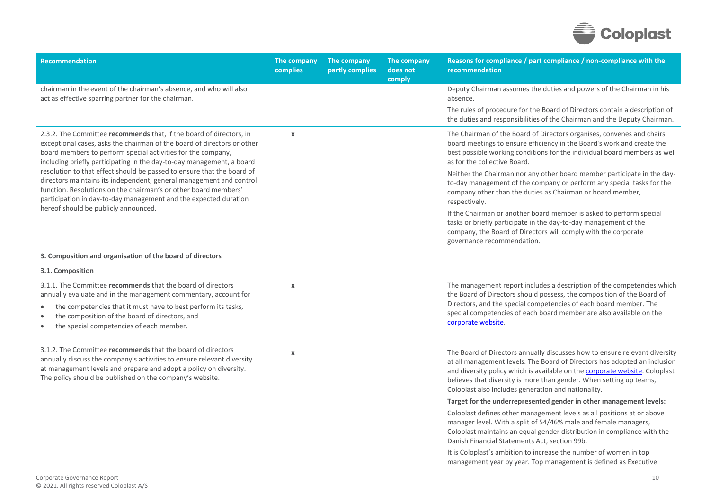

| <b>Recommendation</b>                                                                                                                                                                                                                                                                   | The company<br>complies   | The company<br>partly complies | The company<br>does not<br>comply | Reasons for compliance / part compliance / non-compliance with the<br>recommendation                                                                                                                                                                                                                                                                                 |
|-----------------------------------------------------------------------------------------------------------------------------------------------------------------------------------------------------------------------------------------------------------------------------------------|---------------------------|--------------------------------|-----------------------------------|----------------------------------------------------------------------------------------------------------------------------------------------------------------------------------------------------------------------------------------------------------------------------------------------------------------------------------------------------------------------|
| chairman in the event of the chairman's absence, and who will also<br>act as effective sparring partner for the chairman.                                                                                                                                                               |                           |                                |                                   | Deputy Chairman assumes the duties and powers of the Chairman in his<br>absence.                                                                                                                                                                                                                                                                                     |
|                                                                                                                                                                                                                                                                                         |                           |                                |                                   | The rules of procedure for the Board of Directors contain a description of<br>the duties and responsibilities of the Chairman and the Deputy Chairman.                                                                                                                                                                                                               |
| 2.3.2. The Committee recommends that, if the board of directors, in<br>exceptional cases, asks the chairman of the board of directors or other<br>board members to perform special activities for the company,<br>including briefly participating in the day-to-day management, a board | $\boldsymbol{\mathsf{x}}$ |                                |                                   | The Chairman of the Board of Directors organises, convenes and chairs<br>board meetings to ensure efficiency in the Board's work and create the<br>best possible working conditions for the individual board members as well<br>as for the collective Board.                                                                                                         |
| resolution to that effect should be passed to ensure that the board of<br>directors maintains its independent, general management and control<br>function. Resolutions on the chairman's or other board members'<br>participation in day-to-day management and the expected duration    |                           |                                |                                   | Neither the Chairman nor any other board member participate in the day-<br>to-day management of the company or perform any special tasks for the<br>company other than the duties as Chairman or board member,<br>respectively.                                                                                                                                      |
| hereof should be publicly announced.                                                                                                                                                                                                                                                    |                           |                                |                                   | If the Chairman or another board member is asked to perform special<br>tasks or briefly participate in the day-to-day management of the<br>company, the Board of Directors will comply with the corporate<br>governance recommendation.                                                                                                                              |
| 3. Composition and organisation of the board of directors                                                                                                                                                                                                                               |                           |                                |                                   |                                                                                                                                                                                                                                                                                                                                                                      |
| 3.1. Composition                                                                                                                                                                                                                                                                        |                           |                                |                                   |                                                                                                                                                                                                                                                                                                                                                                      |
| 3.1.1. The Committee recommends that the board of directors<br>annually evaluate and in the management commentary, account for                                                                                                                                                          | $\mathbf x$               |                                |                                   | The management report includes a description of the competencies which<br>the Board of Directors should possess, the composition of the Board of                                                                                                                                                                                                                     |
| the competencies that it must have to best perform its tasks,<br>the composition of the board of directors, and<br>the special competencies of each member.<br>$\bullet$                                                                                                                |                           |                                |                                   | Directors, and the special competencies of each board member. The<br>special competencies of each board member are also available on the<br>corporate website.                                                                                                                                                                                                       |
| 3.1.2. The Committee recommends that the board of directors<br>annually discuss the company's activities to ensure relevant diversity<br>at management levels and prepare and adopt a policy on diversity.<br>The policy should be published on the company's website.                  | $\boldsymbol{\chi}$       |                                |                                   | The Board of Directors annually discusses how to ensure relevant diversity<br>at all management levels. The Board of Directors has adopted an inclusion<br>and diversity policy which is available on the corporate website. Coloplast<br>believes that diversity is more than gender. When setting up teams,<br>Coloplast also includes generation and nationality. |
|                                                                                                                                                                                                                                                                                         |                           |                                |                                   | Target for the underrepresented gender in other management levels:                                                                                                                                                                                                                                                                                                   |
|                                                                                                                                                                                                                                                                                         |                           |                                |                                   | Coloplast defines other management levels as all positions at or above<br>manager level. With a split of 54/46% male and female managers,<br>Coloplast maintains an equal gender distribution in compliance with the<br>Danish Financial Statements Act, section 99b.                                                                                                |
|                                                                                                                                                                                                                                                                                         |                           |                                |                                   | It is Coloplast's ambition to increase the number of women in top<br>management year by year. Top management is defined as Executive                                                                                                                                                                                                                                 |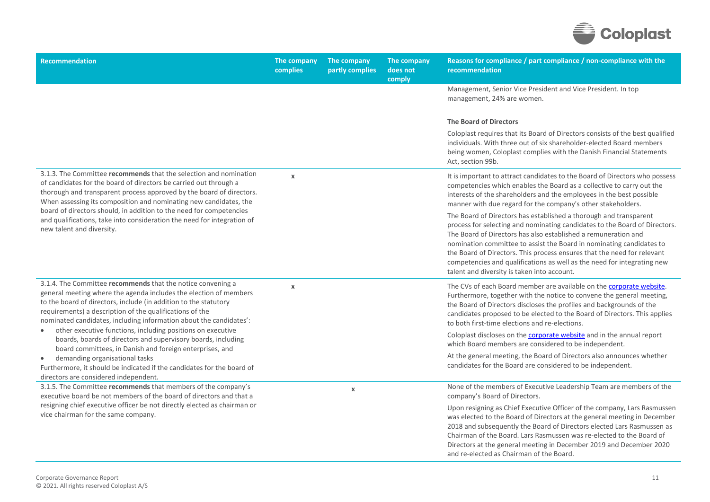

| <b>Recommendation</b>                                                                                                                                                                                                                                                                                                                  | The company<br>complies | The company<br>partly complies | The company<br>does not<br>comply | Reasons for compliance / part compliance / non-compliance with the<br>recommendation                                                                                                                                                                                                                                                                                                                                                                                                           |
|----------------------------------------------------------------------------------------------------------------------------------------------------------------------------------------------------------------------------------------------------------------------------------------------------------------------------------------|-------------------------|--------------------------------|-----------------------------------|------------------------------------------------------------------------------------------------------------------------------------------------------------------------------------------------------------------------------------------------------------------------------------------------------------------------------------------------------------------------------------------------------------------------------------------------------------------------------------------------|
|                                                                                                                                                                                                                                                                                                                                        |                         |                                |                                   | Management, Senior Vice President and Vice President. In top<br>management, 24% are women.                                                                                                                                                                                                                                                                                                                                                                                                     |
|                                                                                                                                                                                                                                                                                                                                        |                         |                                |                                   | <b>The Board of Directors</b>                                                                                                                                                                                                                                                                                                                                                                                                                                                                  |
|                                                                                                                                                                                                                                                                                                                                        |                         |                                |                                   | Coloplast requires that its Board of Directors consists of the best qualified<br>individuals. With three out of six shareholder-elected Board members<br>being women, Coloplast complies with the Danish Financial Statements<br>Act, section 99b.                                                                                                                                                                                                                                             |
| 3.1.3. The Committee recommends that the selection and nomination<br>of candidates for the board of directors be carried out through a<br>thorough and transparent process approved by the board of directors.<br>When assessing its composition and nominating new candidates, the                                                    | $\pmb{\chi}$            |                                |                                   | It is important to attract candidates to the Board of Directors who possess<br>competencies which enables the Board as a collective to carry out the<br>interests of the shareholders and the employees in the best possible<br>manner with due regard for the company's other stakeholders.                                                                                                                                                                                                   |
| board of directors should, in addition to the need for competencies<br>and qualifications, take into consideration the need for integration of<br>new talent and diversity.                                                                                                                                                            |                         |                                |                                   | The Board of Directors has established a thorough and transparent<br>process for selecting and nominating candidates to the Board of Directors.<br>The Board of Directors has also established a remuneration and<br>nomination committee to assist the Board in nominating candidates to<br>the Board of Directors. This process ensures that the need for relevant<br>competencies and qualifications as well as the need for integrating new<br>talent and diversity is taken into account. |
| 3.1.4. The Committee recommends that the notice convening a<br>general meeting where the agenda includes the election of members<br>to the board of directors, include (in addition to the statutory<br>requirements) a description of the qualifications of the<br>nominated candidates, including information about the candidates': | $\pmb{\chi}$            |                                |                                   | The CVs of each Board member are available on the corporate website.<br>Furthermore, together with the notice to convene the general meeting,<br>the Board of Directors discloses the profiles and backgrounds of the<br>candidates proposed to be elected to the Board of Directors. This applies<br>to both first-time elections and re-elections.                                                                                                                                           |
| other executive functions, including positions on executive<br>boards, boards of directors and supervisory boards, including<br>board committees, in Danish and foreign enterprises, and                                                                                                                                               |                         |                                |                                   | Coloplast discloses on the <b>corporate website</b> and in the annual report<br>which Board members are considered to be independent.                                                                                                                                                                                                                                                                                                                                                          |
| demanding organisational tasks<br>$\bullet$<br>Furthermore, it should be indicated if the candidates for the board of<br>directors are considered independent.                                                                                                                                                                         |                         |                                |                                   | At the general meeting, the Board of Directors also announces whether<br>candidates for the Board are considered to be independent.                                                                                                                                                                                                                                                                                                                                                            |
| 3.1.5. The Committee recommends that members of the company's<br>executive board be not members of the board of directors and that a<br>resigning chief executive officer be not directly elected as chairman or<br>vice chairman for the same company.                                                                                |                         | $\boldsymbol{\mathsf{x}}$      |                                   | None of the members of Executive Leadership Team are members of the<br>company's Board of Directors.                                                                                                                                                                                                                                                                                                                                                                                           |
|                                                                                                                                                                                                                                                                                                                                        |                         |                                |                                   | Upon resigning as Chief Executive Officer of the company, Lars Rasmussen<br>was elected to the Board of Directors at the general meeting in December<br>2018 and subsequently the Board of Directors elected Lars Rasmussen as<br>Chairman of the Board. Lars Rasmussen was re-elected to the Board of<br>Directors at the general meeting in December 2019 and December 2020<br>and re-elected as Chairman of the Board.                                                                      |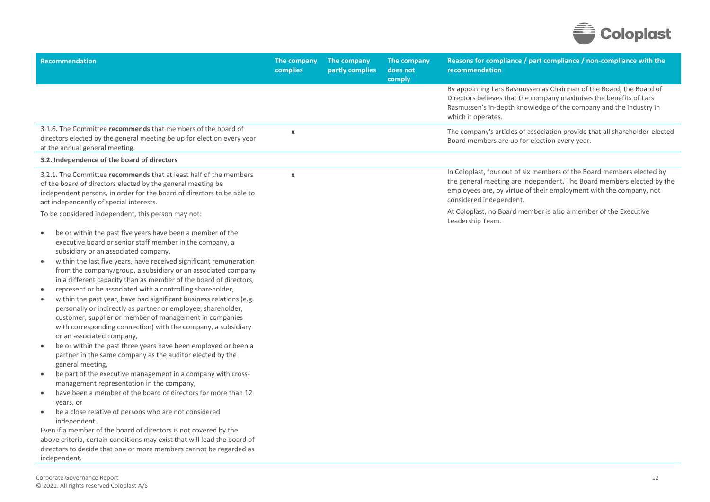

| Recommendation                                                                                                                                                                                                                                                                                                                                                                                                                                                                                                                                                                                                                                                                                                                                                                                                                                                                                                                                                                                                                                                                                                                                                                                                                                                                                                                                                                                                                                                                                                 | The company<br>complies   | The company<br>partly complies | The company<br>does not<br>comply | Reasons for compliance / part compliance / non-compliance with the<br>recommendation                                                                                                                                                            |
|----------------------------------------------------------------------------------------------------------------------------------------------------------------------------------------------------------------------------------------------------------------------------------------------------------------------------------------------------------------------------------------------------------------------------------------------------------------------------------------------------------------------------------------------------------------------------------------------------------------------------------------------------------------------------------------------------------------------------------------------------------------------------------------------------------------------------------------------------------------------------------------------------------------------------------------------------------------------------------------------------------------------------------------------------------------------------------------------------------------------------------------------------------------------------------------------------------------------------------------------------------------------------------------------------------------------------------------------------------------------------------------------------------------------------------------------------------------------------------------------------------------|---------------------------|--------------------------------|-----------------------------------|-------------------------------------------------------------------------------------------------------------------------------------------------------------------------------------------------------------------------------------------------|
|                                                                                                                                                                                                                                                                                                                                                                                                                                                                                                                                                                                                                                                                                                                                                                                                                                                                                                                                                                                                                                                                                                                                                                                                                                                                                                                                                                                                                                                                                                                |                           |                                |                                   | By appointing Lars Rasmussen as Chairman of the Board, the Board of<br>Directors believes that the company maximises the benefits of Lars<br>Rasmussen's in-depth knowledge of the company and the industry in<br>which it operates.            |
| 3.1.6. The Committee recommends that members of the board of<br>directors elected by the general meeting be up for election every year<br>at the annual general meeting.                                                                                                                                                                                                                                                                                                                                                                                                                                                                                                                                                                                                                                                                                                                                                                                                                                                                                                                                                                                                                                                                                                                                                                                                                                                                                                                                       | $\boldsymbol{\mathsf{x}}$ |                                |                                   | The company's articles of association provide that all shareholder-elected<br>Board members are up for election every year.                                                                                                                     |
| 3.2. Independence of the board of directors                                                                                                                                                                                                                                                                                                                                                                                                                                                                                                                                                                                                                                                                                                                                                                                                                                                                                                                                                                                                                                                                                                                                                                                                                                                                                                                                                                                                                                                                    |                           |                                |                                   |                                                                                                                                                                                                                                                 |
| 3.2.1. The Committee recommends that at least half of the members<br>of the board of directors elected by the general meeting be<br>independent persons, in order for the board of directors to be able to<br>act independently of special interests.                                                                                                                                                                                                                                                                                                                                                                                                                                                                                                                                                                                                                                                                                                                                                                                                                                                                                                                                                                                                                                                                                                                                                                                                                                                          | $\pmb{\chi}$              |                                |                                   | In Coloplast, four out of six members of the Board members elected by<br>the general meeting are independent. The Board members elected by the<br>employees are, by virtue of their employment with the company, not<br>considered independent. |
| To be considered independent, this person may not:                                                                                                                                                                                                                                                                                                                                                                                                                                                                                                                                                                                                                                                                                                                                                                                                                                                                                                                                                                                                                                                                                                                                                                                                                                                                                                                                                                                                                                                             |                           |                                |                                   | At Coloplast, no Board member is also a member of the Executive<br>Leadership Team.                                                                                                                                                             |
| be or within the past five years have been a member of the<br>$\bullet$<br>executive board or senior staff member in the company, a<br>subsidiary or an associated company,<br>within the last five years, have received significant remuneration<br>$\bullet$<br>from the company/group, a subsidiary or an associated company<br>in a different capacity than as member of the board of directors,<br>represent or be associated with a controlling shareholder,<br>$\bullet$<br>within the past year, have had significant business relations (e.g.<br>$\bullet$<br>personally or indirectly as partner or employee, shareholder,<br>customer, supplier or member of management in companies<br>with corresponding connection) with the company, a subsidiary<br>or an associated company,<br>be or within the past three years have been employed or been a<br>$\bullet$<br>partner in the same company as the auditor elected by the<br>general meeting,<br>be part of the executive management in a company with cross-<br>$\bullet$<br>management representation in the company,<br>have been a member of the board of directors for more than 12<br>$\bullet$<br>years, or<br>be a close relative of persons who are not considered<br>$\bullet$<br>independent.<br>Even if a member of the board of directors is not covered by the<br>above criteria, certain conditions may exist that will lead the board of<br>directors to decide that one or more members cannot be regarded as<br>independent. |                           |                                |                                   |                                                                                                                                                                                                                                                 |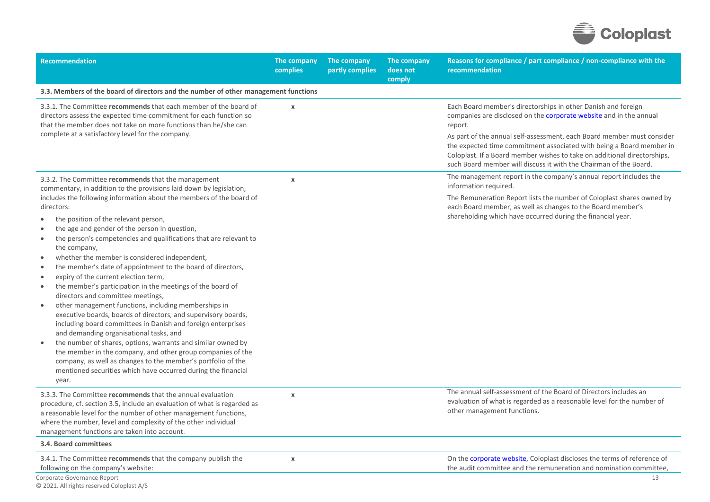

| Recommendation                                                                                                                                                                                                                                                                                                                                                                                                                                                                                                                                                                                                                                                                                                                                                                                                                                                                                                                                                                                                                                                                                | The company<br>complies | The company<br>partly complies | The company<br>does not<br>comply | Reasons for compliance / part compliance / non-compliance with the<br>recommendation                                                                                                                                                                                                                                                                                                                                                                     |
|-----------------------------------------------------------------------------------------------------------------------------------------------------------------------------------------------------------------------------------------------------------------------------------------------------------------------------------------------------------------------------------------------------------------------------------------------------------------------------------------------------------------------------------------------------------------------------------------------------------------------------------------------------------------------------------------------------------------------------------------------------------------------------------------------------------------------------------------------------------------------------------------------------------------------------------------------------------------------------------------------------------------------------------------------------------------------------------------------|-------------------------|--------------------------------|-----------------------------------|----------------------------------------------------------------------------------------------------------------------------------------------------------------------------------------------------------------------------------------------------------------------------------------------------------------------------------------------------------------------------------------------------------------------------------------------------------|
| 3.3. Members of the board of directors and the number of other management functions                                                                                                                                                                                                                                                                                                                                                                                                                                                                                                                                                                                                                                                                                                                                                                                                                                                                                                                                                                                                           |                         |                                |                                   |                                                                                                                                                                                                                                                                                                                                                                                                                                                          |
| 3.3.1. The Committee recommends that each member of the board of<br>directors assess the expected time commitment for each function so<br>that the member does not take on more functions than he/she can<br>complete at a satisfactory level for the company.                                                                                                                                                                                                                                                                                                                                                                                                                                                                                                                                                                                                                                                                                                                                                                                                                                | $\pmb{\chi}$            |                                |                                   | Each Board member's directorships in other Danish and foreign<br>companies are disclosed on the <b>corporate website</b> and in the annual<br>report.<br>As part of the annual self-assessment, each Board member must consider<br>the expected time commitment associated with being a Board member in<br>Coloplast. If a Board member wishes to take on additional directorships,<br>such Board member will discuss it with the Chairman of the Board. |
| 3.3.2. The Committee recommends that the management<br>commentary, in addition to the provisions laid down by legislation,                                                                                                                                                                                                                                                                                                                                                                                                                                                                                                                                                                                                                                                                                                                                                                                                                                                                                                                                                                    | $\pmb{\chi}$            |                                |                                   | The management report in the company's annual report includes the<br>information required.                                                                                                                                                                                                                                                                                                                                                               |
| includes the following information about the members of the board of<br>directors:<br>the position of the relevant person,<br>the age and gender of the person in question,<br>the person's competencies and qualifications that are relevant to<br>$\bullet$<br>the company,<br>whether the member is considered independent,<br>the member's date of appointment to the board of directors,<br>expiry of the current election term,<br>$\bullet$<br>the member's participation in the meetings of the board of<br>$\bullet$<br>directors and committee meetings,<br>other management functions, including memberships in<br>executive boards, boards of directors, and supervisory boards,<br>including board committees in Danish and foreign enterprises<br>and demanding organisational tasks, and<br>the number of shares, options, warrants and similar owned by<br>$\bullet$<br>the member in the company, and other group companies of the<br>company, as well as changes to the member's portfolio of the<br>mentioned securities which have occurred during the financial<br>year. |                         |                                |                                   | The Remuneration Report lists the number of Coloplast shares owned by<br>each Board member, as well as changes to the Board member's<br>shareholding which have occurred during the financial year.                                                                                                                                                                                                                                                      |
| 3.3.3. The Committee recommends that the annual evaluation<br>procedure, cf. section 3.5, include an evaluation of what is regarded as<br>a reasonable level for the number of other management functions,<br>where the number, level and complexity of the other individual<br>management functions are taken into account.                                                                                                                                                                                                                                                                                                                                                                                                                                                                                                                                                                                                                                                                                                                                                                  | $\pmb{\chi}$            |                                |                                   | The annual self-assessment of the Board of Directors includes an<br>evaluation of what is regarded as a reasonable level for the number of<br>other management functions.                                                                                                                                                                                                                                                                                |
| 3.4. Board committees                                                                                                                                                                                                                                                                                                                                                                                                                                                                                                                                                                                                                                                                                                                                                                                                                                                                                                                                                                                                                                                                         |                         |                                |                                   |                                                                                                                                                                                                                                                                                                                                                                                                                                                          |
| 3.4.1. The Committee recommends that the company publish the<br>following on the company's website:<br>Corporate Governance Report                                                                                                                                                                                                                                                                                                                                                                                                                                                                                                                                                                                                                                                                                                                                                                                                                                                                                                                                                            | $\pmb{\chi}$            |                                |                                   | On the corporate website, Coloplast discloses the terms of reference of<br>the audit committee and the remuneration and nomination committee,<br>13                                                                                                                                                                                                                                                                                                      |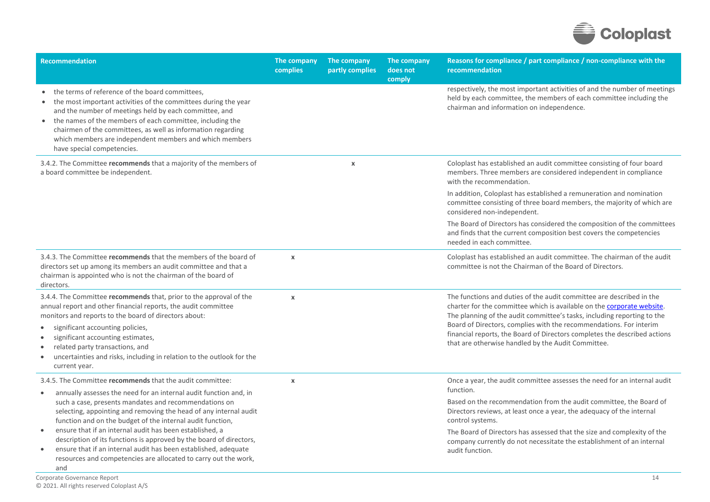

| <b>Recommendation</b>                                                                                                                                                                                                                                                                                                                                                                                           | The company<br>complies   | The company<br>partly complies | The company<br>does not<br>comply | Reasons for compliance / part compliance / non-compliance with the<br>recommendation                                                                                                                                                                                                                                                                                                                                               |
|-----------------------------------------------------------------------------------------------------------------------------------------------------------------------------------------------------------------------------------------------------------------------------------------------------------------------------------------------------------------------------------------------------------------|---------------------------|--------------------------------|-----------------------------------|------------------------------------------------------------------------------------------------------------------------------------------------------------------------------------------------------------------------------------------------------------------------------------------------------------------------------------------------------------------------------------------------------------------------------------|
| the terms of reference of the board committees,<br>the most important activities of the committees during the year<br>and the number of meetings held by each committee, and<br>the names of the members of each committee, including the<br>$\bullet$<br>chairmen of the committees, as well as information regarding<br>which members are independent members and which members<br>have special competencies. |                           |                                |                                   | respectively, the most important activities of and the number of meetings<br>held by each committee, the members of each committee including the<br>chairman and information on independence.                                                                                                                                                                                                                                      |
| 3.4.2. The Committee recommends that a majority of the members of<br>a board committee be independent.                                                                                                                                                                                                                                                                                                          |                           | $\boldsymbol{\mathsf{x}}$      |                                   | Coloplast has established an audit committee consisting of four board<br>members. Three members are considered independent in compliance<br>with the recommendation.<br>In addition, Coloplast has established a remuneration and nomination                                                                                                                                                                                       |
|                                                                                                                                                                                                                                                                                                                                                                                                                 |                           |                                |                                   | committee consisting of three board members, the majority of which are<br>considered non-independent.                                                                                                                                                                                                                                                                                                                              |
|                                                                                                                                                                                                                                                                                                                                                                                                                 |                           |                                |                                   | The Board of Directors has considered the composition of the committees<br>and finds that the current composition best covers the competencies<br>needed in each committee.                                                                                                                                                                                                                                                        |
| 3.4.3. The Committee recommends that the members of the board of<br>directors set up among its members an audit committee and that a<br>chairman is appointed who is not the chairman of the board of<br>directors.                                                                                                                                                                                             | $\boldsymbol{\mathsf{x}}$ |                                |                                   | Coloplast has established an audit committee. The chairman of the audit<br>committee is not the Chairman of the Board of Directors.                                                                                                                                                                                                                                                                                                |
| 3.4.4. The Committee recommends that, prior to the approval of the<br>annual report and other financial reports, the audit committee<br>monitors and reports to the board of directors about:<br>significant accounting policies,<br>significant accounting estimates,                                                                                                                                          | $\boldsymbol{\chi}$       |                                |                                   | The functions and duties of the audit committee are described in the<br>charter for the committee which is available on the corporate website.<br>The planning of the audit committee's tasks, including reporting to the<br>Board of Directors, complies with the recommendations. For interim<br>financial reports, the Board of Directors completes the described actions<br>that are otherwise handled by the Audit Committee. |
| related party transactions, and<br>$\bullet$<br>uncertainties and risks, including in relation to the outlook for the<br>$\bullet$<br>current year.                                                                                                                                                                                                                                                             |                           |                                |                                   |                                                                                                                                                                                                                                                                                                                                                                                                                                    |
| 3.4.5. The Committee recommends that the audit committee:<br>annually assesses the need for an internal audit function and, in<br>$\bullet$                                                                                                                                                                                                                                                                     | $\boldsymbol{\chi}$       |                                |                                   | Once a year, the audit committee assesses the need for an internal audit<br>function.                                                                                                                                                                                                                                                                                                                                              |
| such a case, presents mandates and recommendations on<br>selecting, appointing and removing the head of any internal audit<br>function and on the budget of the internal audit function,                                                                                                                                                                                                                        |                           |                                |                                   | Based on the recommendation from the audit committee, the Board of<br>Directors reviews, at least once a year, the adequacy of the internal<br>control systems.                                                                                                                                                                                                                                                                    |
| ensure that if an internal audit has been established, a<br>$\bullet$<br>description of its functions is approved by the board of directors,<br>ensure that if an internal audit has been established, adequate<br>$\bullet$<br>resources and competencies are allocated to carry out the work,<br>and                                                                                                          |                           |                                |                                   | The Board of Directors has assessed that the size and complexity of the<br>company currently do not necessitate the establishment of an internal<br>audit function.                                                                                                                                                                                                                                                                |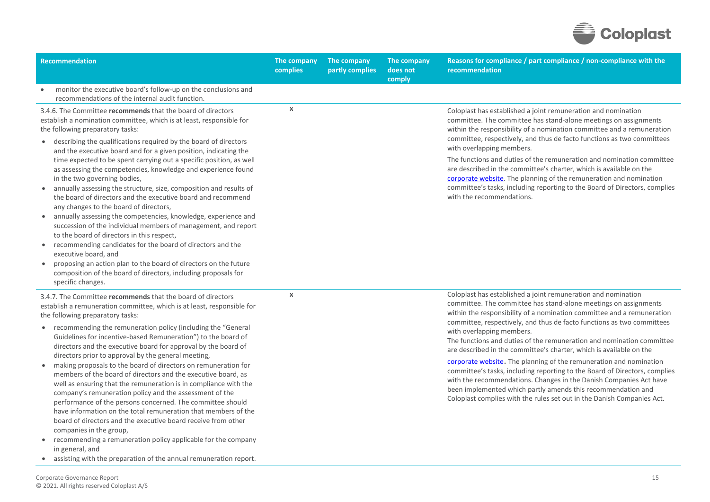

| Recommendation                                                                                                                                                                                                                                                                                                                                                                                                                                                                                                                                                                                                                                                                                                                                                                                                                                                                                                                                                                                                                                                                                             | The company<br>complies | The company<br>partly complies | The company<br>does not<br>comply | Reasons for compliance / part compliance / non-compliance with the<br>recommendation                                                                                                                                                                                                                                                                                                                                                                                                                                                                                                                                                                                                                                                                                                                                                   |
|------------------------------------------------------------------------------------------------------------------------------------------------------------------------------------------------------------------------------------------------------------------------------------------------------------------------------------------------------------------------------------------------------------------------------------------------------------------------------------------------------------------------------------------------------------------------------------------------------------------------------------------------------------------------------------------------------------------------------------------------------------------------------------------------------------------------------------------------------------------------------------------------------------------------------------------------------------------------------------------------------------------------------------------------------------------------------------------------------------|-------------------------|--------------------------------|-----------------------------------|----------------------------------------------------------------------------------------------------------------------------------------------------------------------------------------------------------------------------------------------------------------------------------------------------------------------------------------------------------------------------------------------------------------------------------------------------------------------------------------------------------------------------------------------------------------------------------------------------------------------------------------------------------------------------------------------------------------------------------------------------------------------------------------------------------------------------------------|
| monitor the executive board's follow-up on the conclusions and<br>$\bullet$<br>recommendations of the internal audit function.                                                                                                                                                                                                                                                                                                                                                                                                                                                                                                                                                                                                                                                                                                                                                                                                                                                                                                                                                                             |                         |                                |                                   |                                                                                                                                                                                                                                                                                                                                                                                                                                                                                                                                                                                                                                                                                                                                                                                                                                        |
| 3.4.6. The Committee recommends that the board of directors<br>establish a nomination committee, which is at least, responsible for<br>the following preparatory tasks:<br>describing the qualifications required by the board of directors<br>and the executive board and for a given position, indicating the<br>time expected to be spent carrying out a specific position, as well<br>as assessing the competencies, knowledge and experience found<br>in the two governing bodies,<br>annually assessing the structure, size, composition and results of<br>the board of directors and the executive board and recommend<br>any changes to the board of directors,<br>annually assessing the competencies, knowledge, experience and<br>succession of the individual members of management, and report<br>to the board of directors in this respect,<br>recommending candidates for the board of directors and the<br>executive board, and<br>proposing an action plan to the board of directors on the future<br>composition of the board of directors, including proposals for<br>specific changes. | $\pmb{\chi}$            |                                |                                   | Coloplast has established a joint remuneration and nomination<br>committee. The committee has stand-alone meetings on assignments<br>within the responsibility of a nomination committee and a remuneration<br>committee, respectively, and thus de facto functions as two committees<br>with overlapping members.<br>The functions and duties of the remuneration and nomination committee<br>are described in the committee's charter, which is available on the<br>corporate website. The planning of the remuneration and nomination<br>committee's tasks, including reporting to the Board of Directors, complies<br>with the recommendations.                                                                                                                                                                                    |
| 3.4.7. The Committee recommends that the board of directors<br>establish a remuneration committee, which is at least, responsible for<br>the following preparatory tasks:<br>• recommending the remuneration policy (including the "General<br>Guidelines for incentive-based Remuneration") to the board of<br>directors and the executive board for approval by the board of<br>directors prior to approval by the general meeting,<br>making proposals to the board of directors on remuneration for<br>members of the board of directors and the executive board, as<br>well as ensuring that the remuneration is in compliance with the<br>company's remuneration policy and the assessment of the<br>performance of the persons concerned. The committee should<br>have information on the total remuneration that members of the<br>board of directors and the executive board receive from other<br>companies in the group,<br>recommending a remuneration policy applicable for the company<br>in general, and                                                                                    | $\pmb{\chi}$            |                                |                                   | Coloplast has established a joint remuneration and nomination<br>committee. The committee has stand-alone meetings on assignments<br>within the responsibility of a nomination committee and a remuneration<br>committee, respectively, and thus de facto functions as two committees<br>with overlapping members.<br>The functions and duties of the remuneration and nomination committee<br>are described in the committee's charter, which is available on the<br>corporate website. The planning of the remuneration and nomination<br>committee's tasks, including reporting to the Board of Directors, complies<br>with the recommendations. Changes in the Danish Companies Act have<br>been implemented which partly amends this recommendation and<br>Coloplast complies with the rules set out in the Danish Companies Act. |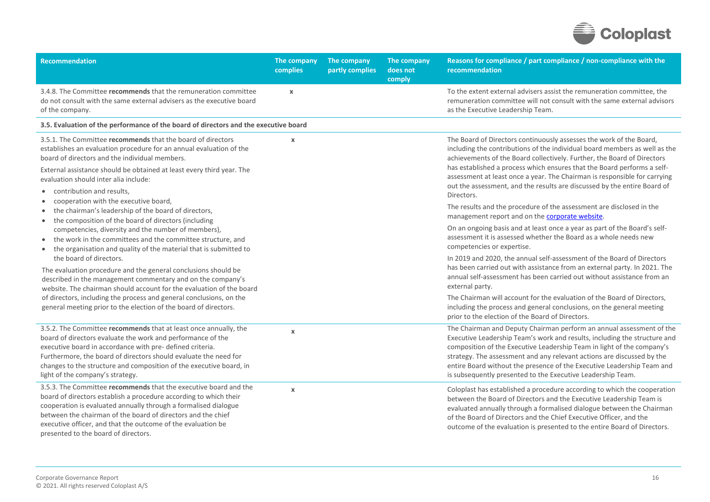

| <b>Recommendation</b>                                                                                                                                                                                                                                                                                                                                                                                                                                                                                                                                                                                                                                                                                                         | The company<br>complies | The company<br>partly complies | The company<br>does not<br>comply | Reasons for compliance / part compliance / non-compliance with the<br>recommendation                                                                                                                                                                                                                                                                                                                                                                                                                                                                                                                                                   |
|-------------------------------------------------------------------------------------------------------------------------------------------------------------------------------------------------------------------------------------------------------------------------------------------------------------------------------------------------------------------------------------------------------------------------------------------------------------------------------------------------------------------------------------------------------------------------------------------------------------------------------------------------------------------------------------------------------------------------------|-------------------------|--------------------------------|-----------------------------------|----------------------------------------------------------------------------------------------------------------------------------------------------------------------------------------------------------------------------------------------------------------------------------------------------------------------------------------------------------------------------------------------------------------------------------------------------------------------------------------------------------------------------------------------------------------------------------------------------------------------------------------|
| 3.4.8. The Committee recommends that the remuneration committee<br>do not consult with the same external advisers as the executive board<br>of the company.                                                                                                                                                                                                                                                                                                                                                                                                                                                                                                                                                                   | $\pmb{\chi}$            |                                |                                   | To the extent external advisers assist the remuneration committee, the<br>remuneration committee will not consult with the same external advisors<br>as the Executive Leadership Team.                                                                                                                                                                                                                                                                                                                                                                                                                                                 |
| 3.5. Evaluation of the performance of the board of directors and the executive board                                                                                                                                                                                                                                                                                                                                                                                                                                                                                                                                                                                                                                          |                         |                                |                                   |                                                                                                                                                                                                                                                                                                                                                                                                                                                                                                                                                                                                                                        |
| 3.5.1. The Committee recommends that the board of directors<br>establishes an evaluation procedure for an annual evaluation of the<br>board of directors and the individual members.<br>External assistance should be obtained at least every third year. The<br>evaluation should inter alia include:<br>contribution and results,<br>$\bullet$<br>cooperation with the executive board,                                                                                                                                                                                                                                                                                                                                     | $\boldsymbol{\chi}$     |                                |                                   | The Board of Directors continuously assesses the work of the Board,<br>including the contributions of the individual board members as well as the<br>achievements of the Board collectively. Further, the Board of Directors<br>has established a process which ensures that the Board performs a self-<br>assessment at least once a year. The Chairman is responsible for carrying<br>out the assessment, and the results are discussed by the entire Board of<br>Directors.<br>The results and the procedure of the assessment are disclosed in the                                                                                 |
| the chairman's leadership of the board of directors,<br>$\bullet$<br>the composition of the board of directors (including<br>$\bullet$<br>competencies, diversity and the number of members),<br>the work in the committees and the committee structure, and<br>$\bullet$<br>the organisation and quality of the material that is submitted to<br>the board of directors.<br>The evaluation procedure and the general conclusions should be<br>described in the management commentary and on the company's<br>website. The chairman should account for the evaluation of the board<br>of directors, including the process and general conclusions, on the<br>general meeting prior to the election of the board of directors. |                         |                                |                                   | management report and on the corporate website.<br>On an ongoing basis and at least once a year as part of the Board's self-<br>assessment it is assessed whether the Board as a whole needs new<br>competencies or expertise.<br>In 2019 and 2020, the annual self-assessment of the Board of Directors<br>has been carried out with assistance from an external party. In 2021. The<br>annual self-assessment has been carried out without assistance from an<br>external party.<br>The Chairman will account for the evaluation of the Board of Directors,<br>including the process and general conclusions, on the general meeting |
| 3.5.2. The Committee recommends that at least once annually, the<br>board of directors evaluate the work and performance of the<br>executive board in accordance with pre- defined criteria.<br>Furthermore, the board of directors should evaluate the need for<br>changes to the structure and composition of the executive board, in<br>light of the company's strategy.                                                                                                                                                                                                                                                                                                                                                   | $\boldsymbol{\chi}$     |                                |                                   | prior to the election of the Board of Directors.<br>The Chairman and Deputy Chairman perform an annual assessment of the<br>Executive Leadership Team's work and results, including the structure and<br>composition of the Executive Leadership Team in light of the company's<br>strategy. The assessment and any relevant actions are discussed by the<br>entire Board without the presence of the Executive Leadership Team and<br>is subsequently presented to the Executive Leadership Team.                                                                                                                                     |
| 3.5.3. The Committee recommends that the executive board and the<br>board of directors establish a procedure according to which their<br>cooperation is evaluated annually through a formalised dialogue<br>between the chairman of the board of directors and the chief<br>executive officer, and that the outcome of the evaluation be<br>presented to the board of directors.                                                                                                                                                                                                                                                                                                                                              | $\boldsymbol{\chi}$     |                                |                                   | Coloplast has established a procedure according to which the cooperation<br>between the Board of Directors and the Executive Leadership Team is<br>evaluated annually through a formalised dialogue between the Chairman<br>of the Board of Directors and the Chief Executive Officer, and the<br>outcome of the evaluation is presented to the entire Board of Directors.                                                                                                                                                                                                                                                             |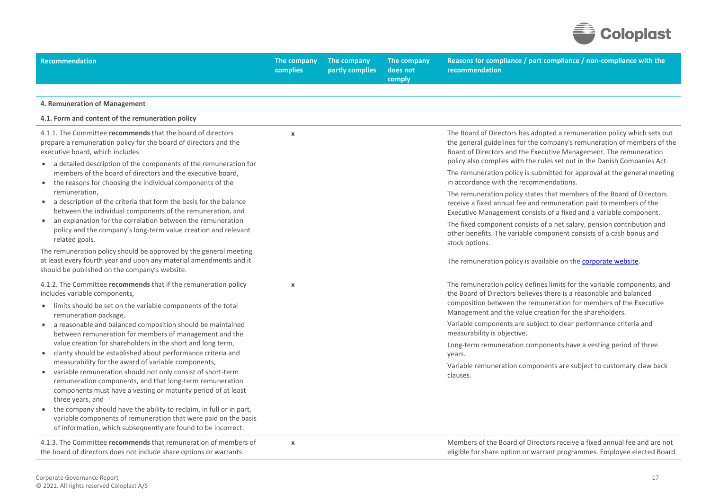

| <b>Recommendation</b>                                                                                                                                                                                                                                               | The company<br>complies | The company<br>partly complies | The company<br>does not<br>comply | Reasons for compliance / part compliance / non-compliance with the<br>recommendation                                                                                                                                                                                                                |
|---------------------------------------------------------------------------------------------------------------------------------------------------------------------------------------------------------------------------------------------------------------------|-------------------------|--------------------------------|-----------------------------------|-----------------------------------------------------------------------------------------------------------------------------------------------------------------------------------------------------------------------------------------------------------------------------------------------------|
|                                                                                                                                                                                                                                                                     |                         |                                |                                   |                                                                                                                                                                                                                                                                                                     |
| 4. Remuneration of Management                                                                                                                                                                                                                                       |                         |                                |                                   |                                                                                                                                                                                                                                                                                                     |
| 4.1. Form and content of the remuneration policy                                                                                                                                                                                                                    |                         |                                |                                   |                                                                                                                                                                                                                                                                                                     |
| 4.1.1. The Committee recommends that the board of directors<br>prepare a remuneration policy for the board of directors and the<br>executive board, which includes<br>• a detailed description of the components of the remuneration for                            | $\mathbf x$             |                                |                                   | The Board of Directors has adopted a remuneration policy which sets out<br>the general guidelines for the company's remuneration of members of the<br>Board of Directors and the Executive Management. The remuneration<br>policy also complies with the rules set out in the Danish Companies Act. |
| members of the board of directors and the executive board,<br>• the reasons for choosing the individual components of the                                                                                                                                           |                         |                                |                                   | The remuneration policy is submitted for approval at the general meeting<br>in accordance with the recommendations.                                                                                                                                                                                 |
| remuneration,<br>• a description of the criteria that form the basis for the balance<br>between the individual components of the remuneration, and                                                                                                                  |                         |                                |                                   | The remuneration policy states that members of the Board of Directors<br>receive a fixed annual fee and remuneration paid to members of the<br>Executive Management consists of a fixed and a variable component.                                                                                   |
| • an explanation for the correlation between the remuneration<br>policy and the company's long-term value creation and relevant<br>related goals.                                                                                                                   |                         |                                |                                   | The fixed component consists of a net salary, pension contribution and<br>other benefits. The variable component consists of a cash bonus and<br>stock options.                                                                                                                                     |
| The remuneration policy should be approved by the general meeting<br>at least every fourth year and upon any material amendments and it<br>should be published on the company's website.                                                                            |                         |                                |                                   | The remuneration policy is available on the <b>corporate website</b> .                                                                                                                                                                                                                              |
| 4.1.2. The Committee recommends that if the remuneration policy<br>includes variable components,<br>• limits should be set on the variable components of the total<br>remuneration package,                                                                         | $\mathbf x$             |                                |                                   | The remuneration policy defines limits for the variable components, and<br>the Board of Directors believes there is a reasonable and balanced<br>composition between the remuneration for members of the Executive<br>Management and the value creation for the shareholders.                       |
| • a reasonable and balanced composition should be maintained<br>between remuneration for members of management and the                                                                                                                                              |                         |                                |                                   | Variable components are subject to clear performance criteria and<br>measurability is objective.                                                                                                                                                                                                    |
| value creation for shareholders in the short and long term,<br>• clarity should be established about performance criteria and                                                                                                                                       |                         |                                |                                   | Long-term remuneration components have a vesting period of three<br>years.                                                                                                                                                                                                                          |
| measurability for the award of variable components,<br>variable remuneration should not only consist of short-term<br>remuneration components, and that long-term remuneration<br>components must have a vesting or maturity period of at least<br>three years, and |                         |                                |                                   | Variable remuneration components are subject to customary claw back<br>clauses.                                                                                                                                                                                                                     |
| the company should have the ability to reclaim, in full or in part,<br>variable components of remuneration that were paid on the basis<br>of information, which subsequently are found to be incorrect.                                                             |                         |                                |                                   |                                                                                                                                                                                                                                                                                                     |
| 4.1.3. The Committee recommends that remuneration of members of<br>the board of directors does not include share options or warrants.                                                                                                                               | $\boldsymbol{\chi}$     |                                |                                   | Members of the Board of Directors receive a fixed annual fee and are not<br>eligible for share option or warrant programmes. Employee elected Board                                                                                                                                                 |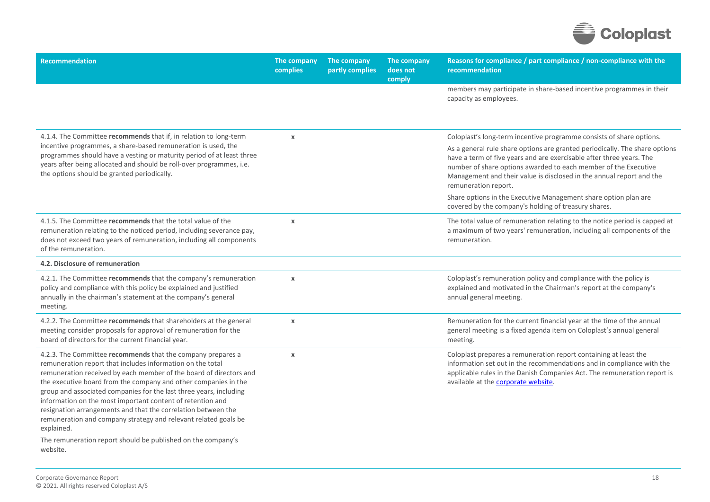

| <b>Recommendation</b>                                                                                                                                                                                                                                                                                                                                                                                                                                                                                                                                                                                                                | The company<br>complies | The company<br>partly complies | The company<br>does not<br>comply | Reasons for compliance / part compliance / non-compliance with the<br>recommendation                                                                                                                                                                                                                                                                                                                                                                                                                                      |
|--------------------------------------------------------------------------------------------------------------------------------------------------------------------------------------------------------------------------------------------------------------------------------------------------------------------------------------------------------------------------------------------------------------------------------------------------------------------------------------------------------------------------------------------------------------------------------------------------------------------------------------|-------------------------|--------------------------------|-----------------------------------|---------------------------------------------------------------------------------------------------------------------------------------------------------------------------------------------------------------------------------------------------------------------------------------------------------------------------------------------------------------------------------------------------------------------------------------------------------------------------------------------------------------------------|
|                                                                                                                                                                                                                                                                                                                                                                                                                                                                                                                                                                                                                                      |                         |                                |                                   | members may participate in share-based incentive programmes in their<br>capacity as employees.                                                                                                                                                                                                                                                                                                                                                                                                                            |
| 4.1.4. The Committee recommends that if, in relation to long-term<br>incentive programmes, a share-based remuneration is used, the<br>programmes should have a vesting or maturity period of at least three<br>years after being allocated and should be roll-over programmes, i.e.<br>the options should be granted periodically.                                                                                                                                                                                                                                                                                                   | $\pmb{\chi}$            |                                |                                   | Coloplast's long-term incentive programme consists of share options.<br>As a general rule share options are granted periodically. The share options<br>have a term of five years and are exercisable after three years. The<br>number of share options awarded to each member of the Executive<br>Management and their value is disclosed in the annual report and the<br>remuneration report.<br>Share options in the Executive Management share option plan are<br>covered by the company's holding of treasury shares. |
| 4.1.5. The Committee recommends that the total value of the<br>remuneration relating to the noticed period, including severance pay,<br>does not exceed two years of remuneration, including all components<br>of the remuneration.                                                                                                                                                                                                                                                                                                                                                                                                  | $\pmb{\chi}$            |                                |                                   | The total value of remuneration relating to the notice period is capped at<br>a maximum of two years' remuneration, including all components of the<br>remuneration.                                                                                                                                                                                                                                                                                                                                                      |
| 4.2. Disclosure of remuneration                                                                                                                                                                                                                                                                                                                                                                                                                                                                                                                                                                                                      |                         |                                |                                   |                                                                                                                                                                                                                                                                                                                                                                                                                                                                                                                           |
| 4.2.1. The Committee recommends that the company's remuneration<br>policy and compliance with this policy be explained and justified<br>annually in the chairman's statement at the company's general<br>meeting.                                                                                                                                                                                                                                                                                                                                                                                                                    | $\boldsymbol{\chi}$     |                                |                                   | Coloplast's remuneration policy and compliance with the policy is<br>explained and motivated in the Chairman's report at the company's<br>annual general meeting.                                                                                                                                                                                                                                                                                                                                                         |
| 4.2.2. The Committee recommends that shareholders at the general<br>meeting consider proposals for approval of remuneration for the<br>board of directors for the current financial year.                                                                                                                                                                                                                                                                                                                                                                                                                                            | $\pmb{\chi}$            |                                |                                   | Remuneration for the current financial year at the time of the annual<br>general meeting is a fixed agenda item on Coloplast's annual general<br>meeting.                                                                                                                                                                                                                                                                                                                                                                 |
| 4.2.3. The Committee recommends that the company prepares a<br>remuneration report that includes information on the total<br>remuneration received by each member of the board of directors and<br>the executive board from the company and other companies in the<br>group and associated companies for the last three years, including<br>information on the most important content of retention and<br>resignation arrangements and that the correlation between the<br>remuneration and company strategy and relevant related goals be<br>explained.<br>The remuneration report should be published on the company's<br>website. | $\pmb{\chi}$            |                                |                                   | Coloplast prepares a remuneration report containing at least the<br>information set out in the recommendations and in compliance with the<br>applicable rules in the Danish Companies Act. The remuneration report is<br>available at the corporate website.                                                                                                                                                                                                                                                              |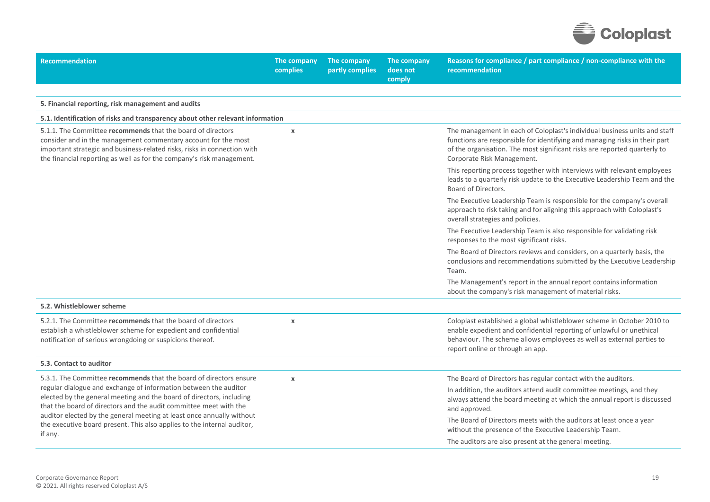

| <b>Recommendation</b>                                                                                                                                                                                                                                                                                                                                                                                                                              | The company<br>complies | The company<br>partly complies | The company<br>does not<br>comply | Reasons for compliance / part compliance / non-compliance with the<br>recommendation                                                                                                                                                                               |
|----------------------------------------------------------------------------------------------------------------------------------------------------------------------------------------------------------------------------------------------------------------------------------------------------------------------------------------------------------------------------------------------------------------------------------------------------|-------------------------|--------------------------------|-----------------------------------|--------------------------------------------------------------------------------------------------------------------------------------------------------------------------------------------------------------------------------------------------------------------|
|                                                                                                                                                                                                                                                                                                                                                                                                                                                    |                         |                                |                                   |                                                                                                                                                                                                                                                                    |
| 5. Financial reporting, risk management and audits                                                                                                                                                                                                                                                                                                                                                                                                 |                         |                                |                                   |                                                                                                                                                                                                                                                                    |
| 5.1. Identification of risks and transparency about other relevant information                                                                                                                                                                                                                                                                                                                                                                     |                         |                                |                                   |                                                                                                                                                                                                                                                                    |
| 5.1.1. The Committee recommends that the board of directors<br>consider and in the management commentary account for the most<br>important strategic and business-related risks, risks in connection with<br>the financial reporting as well as for the company's risk management.                                                                                                                                                                 | $\boldsymbol{\chi}$     |                                |                                   | The management in each of Coloplast's individual business units and staff<br>functions are responsible for identifying and managing risks in their part<br>of the organisation. The most significant risks are reported quarterly to<br>Corporate Risk Management. |
|                                                                                                                                                                                                                                                                                                                                                                                                                                                    |                         |                                |                                   | This reporting process together with interviews with relevant employees<br>leads to a quarterly risk update to the Executive Leadership Team and the<br>Board of Directors.                                                                                        |
|                                                                                                                                                                                                                                                                                                                                                                                                                                                    |                         |                                |                                   | The Executive Leadership Team is responsible for the company's overall<br>approach to risk taking and for aligning this approach with Coloplast's<br>overall strategies and policies.                                                                              |
|                                                                                                                                                                                                                                                                                                                                                                                                                                                    |                         |                                |                                   | The Executive Leadership Team is also responsible for validating risk<br>responses to the most significant risks.                                                                                                                                                  |
|                                                                                                                                                                                                                                                                                                                                                                                                                                                    |                         |                                |                                   | The Board of Directors reviews and considers, on a quarterly basis, the<br>conclusions and recommendations submitted by the Executive Leadership<br>Team.                                                                                                          |
|                                                                                                                                                                                                                                                                                                                                                                                                                                                    |                         |                                |                                   | The Management's report in the annual report contains information<br>about the company's risk management of material risks.                                                                                                                                        |
| 5.2. Whistleblower scheme                                                                                                                                                                                                                                                                                                                                                                                                                          |                         |                                |                                   |                                                                                                                                                                                                                                                                    |
| 5.2.1. The Committee recommends that the board of directors<br>establish a whistleblower scheme for expedient and confidential<br>notification of serious wrongdoing or suspicions thereof.                                                                                                                                                                                                                                                        | $\boldsymbol{\chi}$     |                                |                                   | Coloplast established a global whistleblower scheme in October 2010 to<br>enable expedient and confidential reporting of unlawful or unethical<br>behaviour. The scheme allows employees as well as external parties to<br>report online or through an app.        |
| 5.3. Contact to auditor                                                                                                                                                                                                                                                                                                                                                                                                                            |                         |                                |                                   |                                                                                                                                                                                                                                                                    |
| 5.3.1. The Committee recommends that the board of directors ensure<br>regular dialogue and exchange of information between the auditor<br>elected by the general meeting and the board of directors, including<br>that the board of directors and the audit committee meet with the<br>auditor elected by the general meeting at least once annually without<br>the executive board present. This also applies to the internal auditor,<br>if any. | $\pmb{\times}$          |                                |                                   | The Board of Directors has regular contact with the auditors.                                                                                                                                                                                                      |
|                                                                                                                                                                                                                                                                                                                                                                                                                                                    |                         |                                |                                   | In addition, the auditors attend audit committee meetings, and they<br>always attend the board meeting at which the annual report is discussed<br>and approved.                                                                                                    |
|                                                                                                                                                                                                                                                                                                                                                                                                                                                    |                         |                                |                                   | The Board of Directors meets with the auditors at least once a year<br>without the presence of the Executive Leadership Team.                                                                                                                                      |
|                                                                                                                                                                                                                                                                                                                                                                                                                                                    |                         |                                |                                   | The auditors are also present at the general meeting.                                                                                                                                                                                                              |